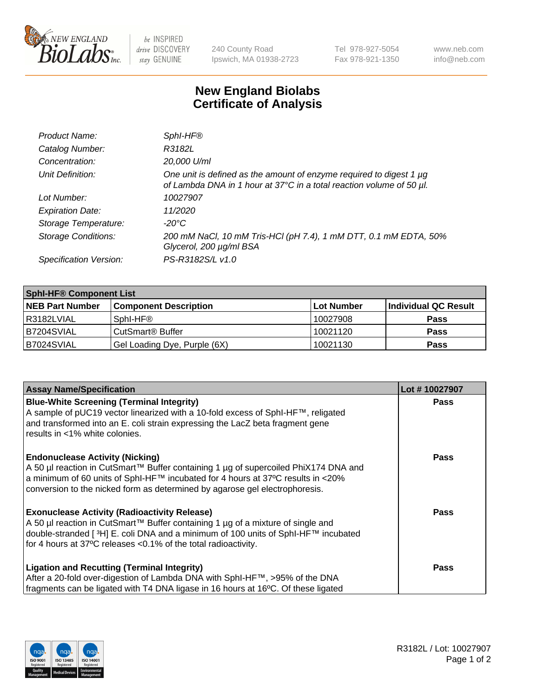

be INSPIRED drive DISCOVERY stay GENUINE

240 County Road Ipswich, MA 01938-2723 Tel 978-927-5054 Fax 978-921-1350 www.neb.com info@neb.com

## **New England Biolabs Certificate of Analysis**

| Product Name:              | Sphl-HF®                                                                                                                                         |
|----------------------------|--------------------------------------------------------------------------------------------------------------------------------------------------|
| Catalog Number:            | R3182L                                                                                                                                           |
| Concentration:             | 20,000 U/ml                                                                                                                                      |
| Unit Definition:           | One unit is defined as the amount of enzyme required to digest 1 $\mu$ g<br>of Lambda DNA in 1 hour at 37°C in a total reaction volume of 50 µl. |
| Lot Number:                | 10027907                                                                                                                                         |
| <b>Expiration Date:</b>    | 11/2020                                                                                                                                          |
| Storage Temperature:       | -20°C                                                                                                                                            |
| <b>Storage Conditions:</b> | 200 mM NaCl, 10 mM Tris-HCl (pH 7.4), 1 mM DTT, 0.1 mM EDTA, 50%<br>Glycerol, 200 µg/ml BSA                                                      |
| Specification Version:     | PS-R3182S/L v1.0                                                                                                                                 |

| <b>Sphl-HF® Component List</b> |                              |            |                      |  |  |
|--------------------------------|------------------------------|------------|----------------------|--|--|
| <b>NEB Part Number</b>         | <b>Component Description</b> | Lot Number | Individual QC Result |  |  |
| I R3182LVIAL                   | Sphl-HF <sup>®</sup>         | 10027908   | <b>Pass</b>          |  |  |
| IB7204SVIAL                    | CutSmart <sup>®</sup> Buffer | 10021120   | <b>Pass</b>          |  |  |
| B7024SVIAL                     | Gel Loading Dye, Purple (6X) | 10021130   | <b>Pass</b>          |  |  |

| <b>Assay Name/Specification</b>                                                                                                                                   | Lot #10027907 |
|-------------------------------------------------------------------------------------------------------------------------------------------------------------------|---------------|
| <b>Blue-White Screening (Terminal Integrity)</b>                                                                                                                  | <b>Pass</b>   |
| A sample of pUC19 vector linearized with a 10-fold excess of SphI-HF™, religated<br>and transformed into an E. coli strain expressing the LacZ beta fragment gene |               |
| results in <1% white colonies.                                                                                                                                    |               |
|                                                                                                                                                                   |               |
| <b>Endonuclease Activity (Nicking)</b>                                                                                                                            | <b>Pass</b>   |
| A 50 µl reaction in CutSmart™ Buffer containing 1 µg of supercoiled PhiX174 DNA and                                                                               |               |
| a minimum of 60 units of SphI-HF™ incubated for 4 hours at 37°C results in <20%<br>conversion to the nicked form as determined by agarose gel electrophoresis.    |               |
|                                                                                                                                                                   |               |
| <b>Exonuclease Activity (Radioactivity Release)</b>                                                                                                               | Pass          |
| A 50 µl reaction in CutSmart™ Buffer containing 1 µg of a mixture of single and                                                                                   |               |
| double-stranded [ <sup>3</sup> H] E. coli DNA and a minimum of 100 units of Sphl-HF™ incubated                                                                    |               |
| for 4 hours at 37°C releases < 0.1% of the total radioactivity.                                                                                                   |               |
| <b>Ligation and Recutting (Terminal Integrity)</b>                                                                                                                | <b>Pass</b>   |
| After a 20-fold over-digestion of Lambda DNA with SphI-HF™, >95% of the DNA                                                                                       |               |
| fragments can be ligated with T4 DNA ligase in 16 hours at 16°C. Of these ligated                                                                                 |               |